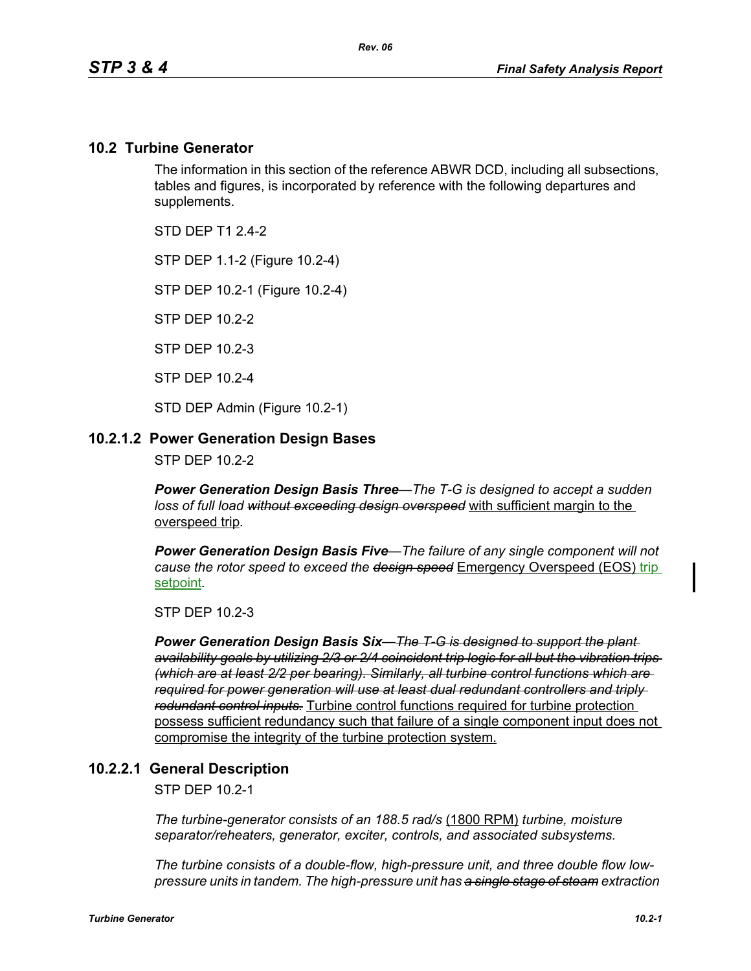## **10.2 Turbine Generator**

The information in this section of the reference ABWR DCD, including all subsections, tables and figures, is incorporated by reference with the following departures and supplements.

STD DFP T1 2 4-2

STP DEP 1.1-2 (Figure 10.2-4)

STP DEP 10.2-1 (Figure 10.2-4)

STP DEP 10.2-2

STP DEP 10.2-3

STP DEP 10.2-4

STD DEP Admin (Figure 10.2-1)

### **10.2.1.2 Power Generation Design Bases**

STP DEP 10.2-2

*Power Generation Design Basis Three—The T-G is designed to accept a sudden loss of full load without exceeding design overspeed* with sufficient margin to the overspeed trip*.* 

*Power Generation Design Basis Five—The failure of any single component will not cause the rotor speed to exceed the design speed* Emergency Overspeed (EOS) trip setpoint*.* 

STP DEP 10.2-3

*Power Generation Design Basis Six—The T-G is designed to support the plant availability goals by utilizing 2/3 or 2/4 coincident trip logic for all but the vibration trips (which are at least 2/2 per bearing). Similarly, all turbine control functions which are required for power generation will use at least dual redundant controllers and triply redundant control inputs.* Turbine control functions required for turbine protection possess sufficient redundancy such that failure of a single component input does not compromise the integrity of the turbine protection system.

### **10.2.2.1 General Description**

STP DEP 10.2-1

*The turbine-generator consists of an 188.5 rad/s* (1800 RPM) *turbine, moisture separator/reheaters, generator, exciter, controls, and associated subsystems.*

*The turbine consists of a double-flow, high-pressure unit, and three double flow lowpressure units in tandem. The high-pressure unit has a single stage of steam extraction*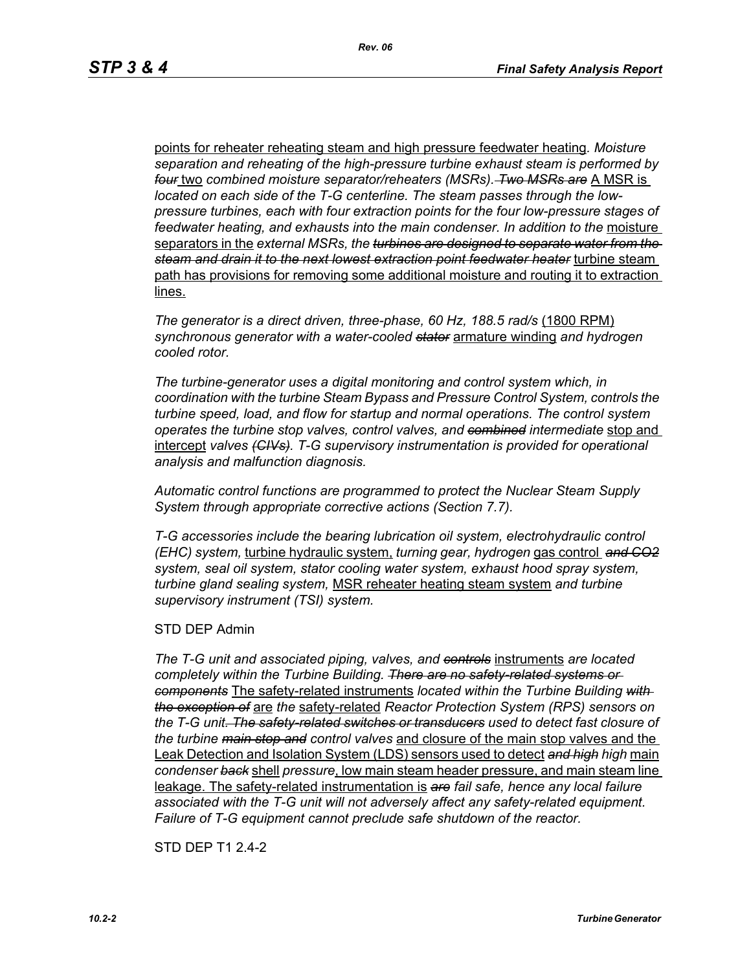points for reheater reheating steam and high pressure feedwater heating*. Moisture separation and reheating of the high-pressure turbine exhaust steam is performed by four* two *combined moisture separator/reheaters (MSRs). Two MSRs are* A MSR is *located on each side of the T-G centerline. The steam passes through the lowpressure turbines, each with four extraction points for the four low-pressure stages of feedwater heating, and exhausts into the main condenser. In addition to the* moisture separators in the *external MSRs, the turbines are designed to separate water from the steam and drain it to the next lowest extraction point feedwater heater* turbine steam path has provisions for removing some additional moisture and routing it to extraction lines.

*The generator is a direct driven, three-phase, 60 Hz, 188.5 rad/s* (1800 RPM) *synchronous generator with a water-cooled stator* armature winding *and hydrogen cooled rotor.*

*The turbine-generator uses a digital monitoring and control system which, in coordination with the turbine Steam Bypass and Pressure Control System, controls the turbine speed, load, and flow for startup and normal operations. The control system operates the turbine stop valves, control valves, and combined intermediate* stop and intercept *valves (CIVs). T-G supervisory instrumentation is provided for operational analysis and malfunction diagnosis.*

*Automatic control functions are programmed to protect the Nuclear Steam Supply System through appropriate corrective actions (Section 7.7).*

*T-G accessories include the bearing lubrication oil system, electrohydraulic control (EHC) system,* turbine hydraulic system, *turning gear, hydrogen* gas control *and CO2 system, seal oil system, stator cooling water system, exhaust hood spray system, turbine gland sealing system,* MSR reheater heating steam system *and turbine supervisory instrument (TSI) system.*

### STD DEP Admin

*The T-G unit and associated piping, valves, and controls* instruments *are located completely within the Turbine Building. There are no safety-related systems or components* The safety-related instruments *located within the Turbine Building with the exception of* are *the* safety-related *Reactor Protection System (RPS) sensors on the T-G unit. The safety-related switches or transducers used to detect fast closure of the turbine main stop and control valves* and closure of the main stop valves and the Leak Detection and Isolation System (LDS) sensors used to detect *and high high* main *condenser back* shell *pressure*, low main steam header pressure, and main steam line leakage. The safety-related instrumentation is *are fail safe, hence any local failure associated with the T-G unit will not adversely affect any safety-related equipment. Failure of T-G equipment cannot preclude safe shutdown of the reactor.*

STD DEP T1 2.4-2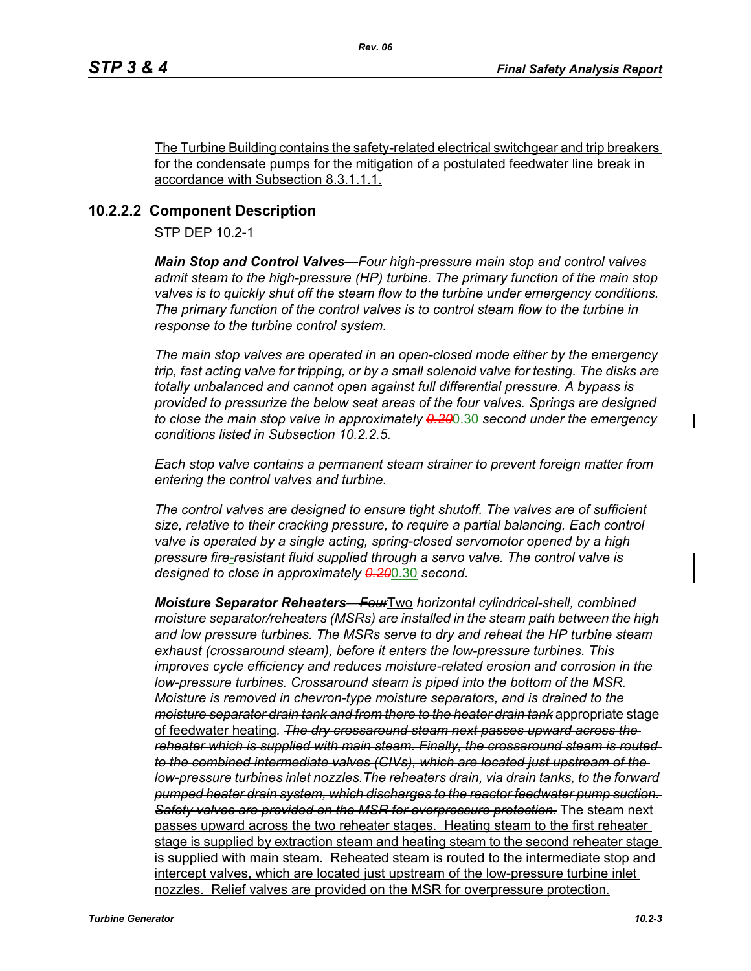The Turbine Building contains the safety-related electrical switchgear and trip breakers for the condensate pumps for the mitigation of a postulated feedwater line break in accordance with Subsection 8.3.1.1.1.

## **10.2.2.2 Component Description**

STP DEP 10.2-1

*Main Stop and Control Valves—Four high-pressure main stop and control valves admit steam to the high-pressure (HP) turbine. The primary function of the main stop valves is to quickly shut off the steam flow to the turbine under emergency conditions. The primary function of the control valves is to control steam flow to the turbine in response to the turbine control system.*

*The main stop valves are operated in an open-closed mode either by the emergency trip, fast acting valve for tripping, or by a small solenoid valve for testing. The disks are totally unbalanced and cannot open against full differential pressure. A bypass is provided to pressurize the below seat areas of the four valves. Springs are designed to close the main stop valve in approximately 0.20*0.30 *second under the emergency conditions listed in Subsection 10.2.2.5.*

*Each stop valve contains a permanent steam strainer to prevent foreign matter from entering the control valves and turbine.*

*The control valves are designed to ensure tight shutoff. The valves are of sufficient size, relative to their cracking pressure, to require a partial balancing. Each control valve is operated by a single acting, spring-closed servomotor opened by a high pressure fire-resistant fluid supplied through a servo valve. The control valve is designed to close in approximately 0.20*0.30 *second.*

*Moisture Separator Reheaters—Four*Two *horizontal cylindrical-shell, combined moisture separator/reheaters (MSRs) are installed in the steam path between the high and low pressure turbines. The MSRs serve to dry and reheat the HP turbine steam exhaust (crossaround steam), before it enters the low-pressure turbines. This improves cycle efficiency and reduces moisture-related erosion and corrosion in the low-pressure turbines. Crossaround steam is piped into the bottom of the MSR. Moisture is removed in chevron-type moisture separators, and is drained to the moisture separator drain tank and from there to the heater drain tank* appropriate stage of feedwater heating*. The dry crossaround steam next passes upward across the reheater which is supplied with main steam. Finally, the crossaround steam is routed to the combined intermediate valves (CIVs), which are located just upstream of the low-pressure turbines inlet nozzles.The reheaters drain, via drain tanks, to the forward pumped heater drain system, which discharges to the reactor feedwater pump suction. Safety valves are provided on the MSR for overpressure protection.* The steam next passes upward across the two reheater stages. Heating steam to the first reheater stage is supplied by extraction steam and heating steam to the second reheater stage is supplied with main steam. Reheated steam is routed to the intermediate stop and intercept valves, which are located just upstream of the low-pressure turbine inlet nozzles. Relief valves are provided on the MSR for overpressure protection.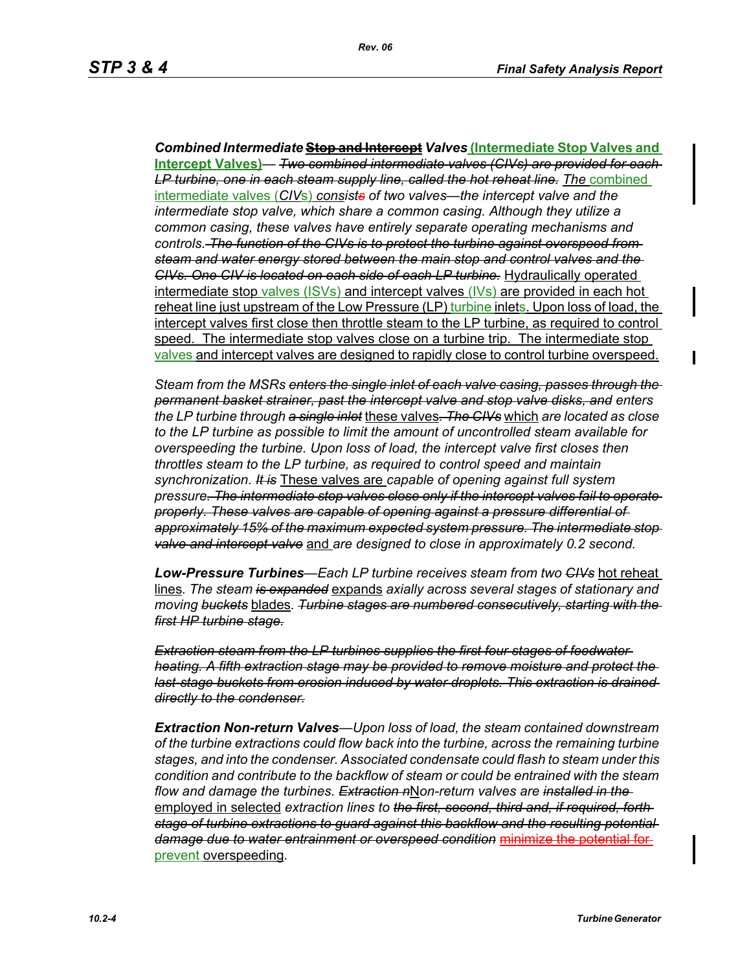*Combined Intermediate* **Stop and Intercept** *Valves* **(Intermediate Stop Valves and Intercept Valves)***— Two combined intermediate valves (CIVs) are provided for each*  LP turbine, one in each steam supply line, called the hot reheat line. The combined intermediate valves (*CIV*s) *consists of two valves—the intercept valve and the intermediate stop valve, which share a common casing. Although they utilize a common casing, these valves have entirely separate operating mechanisms and controls. The function of the CIVs is to protect the turbine against overspeed from steam and water energy stored between the main stop and control valves and the CIVs. One CIV is located on each side of each LP turbine.* Hydraulically operated intermediate stop valves (ISVs) and intercept valves (IVs) are provided in each hot reheat line just upstream of the Low Pressure (LP) turbine inlets. Upon loss of load, the intercept valves first close then throttle steam to the LP turbine, as required to control speed. The intermediate stop valves close on a turbine trip. The intermediate stop valves and intercept valves are designed to rapidly close to control turbine overspeed.

*Steam from the MSRs enters the single inlet of each valve casing, passes through the permanent basket strainer, past the intercept valve and stop valve disks, and enters the LP turbine through a single inlet* these valves*. The CIVs* which *are located as close to the LP turbine as possible to limit the amount of uncontrolled steam available for overspeeding the turbine. Upon loss of load, the intercept valve first closes then throttles steam to the LP turbine, as required to control speed and maintain synchronization. It is* These valves are *capable of opening against full system pressure. The intermediate stop valves close only if the intercept valves fail to operate properly. These valves are capable of opening against a pressure differential of approximately 15% of the maximum expected system pressure. The intermediate stop valve and intercept valve* and *are designed to close in approximately 0.2 second.* 

*Low-Pressure Turbines—Each LP turbine receives steam from two CIVs* hot reheat lines*. The steam is expanded* expands *axially across several stages of stationary and moving buckets* blades*. Turbine stages are numbered consecutively, starting with the first HP turbine stage.*

*Extraction steam from the LP turbines supplies the first four stages of feedwater heating. A fifth extraction stage may be provided to remove moisture and protect the last-stage buckets from erosion induced by water droplets. This extraction is drained directly to the condenser.*

*Extraction Non-return Valves—Upon loss of load, the steam contained downstream of the turbine extractions could flow back into the turbine, across the remaining turbine stages, and into the condenser. Associated condensate could flash to steam under this condition and contribute to the backflow of steam or could be entrained with the steam flow and damage the turbines. Extraction n*N*on-return valves are installed in the*  employed in selected *extraction lines to the first, second, third and, if required, forth stage of turbine extractions to guard against this backflow and the resulting potential damage due to water entrainment or overspeed condition* minimize the potential for prevent overspeeding*.*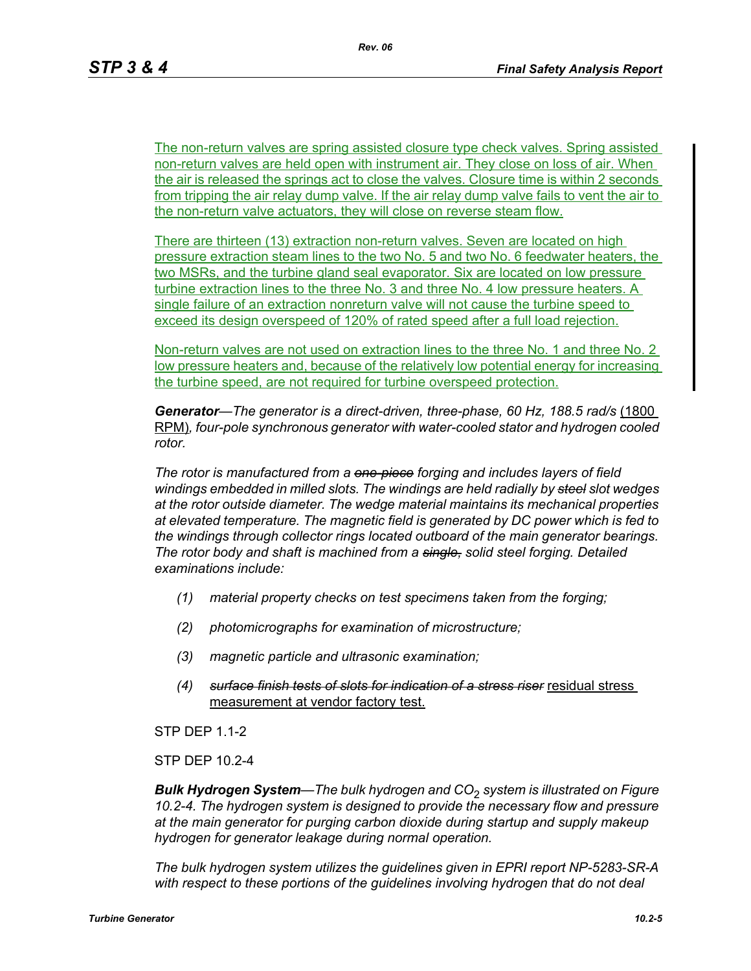The non-return valves are spring assisted closure type check valves. Spring assisted non-return valves are held open with instrument air. They close on loss of air. When the air is released the springs act to close the valves. Closure time is within 2 seconds from tripping the air relay dump valve. If the air relay dump valve fails to vent the air to the non-return valve actuators, they will close on reverse steam flow.

There are thirteen (13) extraction non-return valves. Seven are located on high pressure extraction steam lines to the two No. 5 and two No. 6 feedwater heaters, the two MSRs, and the turbine gland seal evaporator. Six are located on low pressure turbine extraction lines to the three No. 3 and three No. 4 low pressure heaters. A single failure of an extraction nonreturn valve will not cause the turbine speed to exceed its design overspeed of 120% of rated speed after a full load rejection.

Non-return valves are not used on extraction lines to the three No. 1 and three No. 2 low pressure heaters and, because of the relatively low potential energy for increasing the turbine speed, are not required for turbine overspeed protection.

*Generator—The generator is a direct-driven, three-phase, 60 Hz, 188.5 rad/s* (1800 RPM)*, four-pole synchronous generator with water-cooled stator and hydrogen cooled rotor.*

*The rotor is manufactured from a one-piece forging and includes layers of field windings embedded in milled slots. The windings are held radially by steel slot wedges at the rotor outside diameter. The wedge material maintains its mechanical properties at elevated temperature. The magnetic field is generated by DC power which is fed to the windings through collector rings located outboard of the main generator bearings. The rotor body and shaft is machined from a single, solid steel forging. Detailed examinations include:* 

- *(1) material property checks on test specimens taken from the forging;*
- *(2) photomicrographs for examination of microstructure;*
- *(3) magnetic particle and ultrasonic examination;*
- *(4) surface finish tests of slots for indication of a stress riser* residual stress measurement at vendor factory test.

STP DEP 1.1-2

STP DEP 10.2-4

*Bulk Hydrogen System—The bulk hydrogen and CO*2 *system is illustrated on Figure 10.2-4. The hydrogen system is designed to provide the necessary flow and pressure at the main generator for purging carbon dioxide during startup and supply makeup hydrogen for generator leakage during normal operation.*

*The bulk hydrogen system utilizes the guidelines given in EPRI report NP-5283-SR-A*  with respect to these portions of the guidelines involving hydrogen that do not deal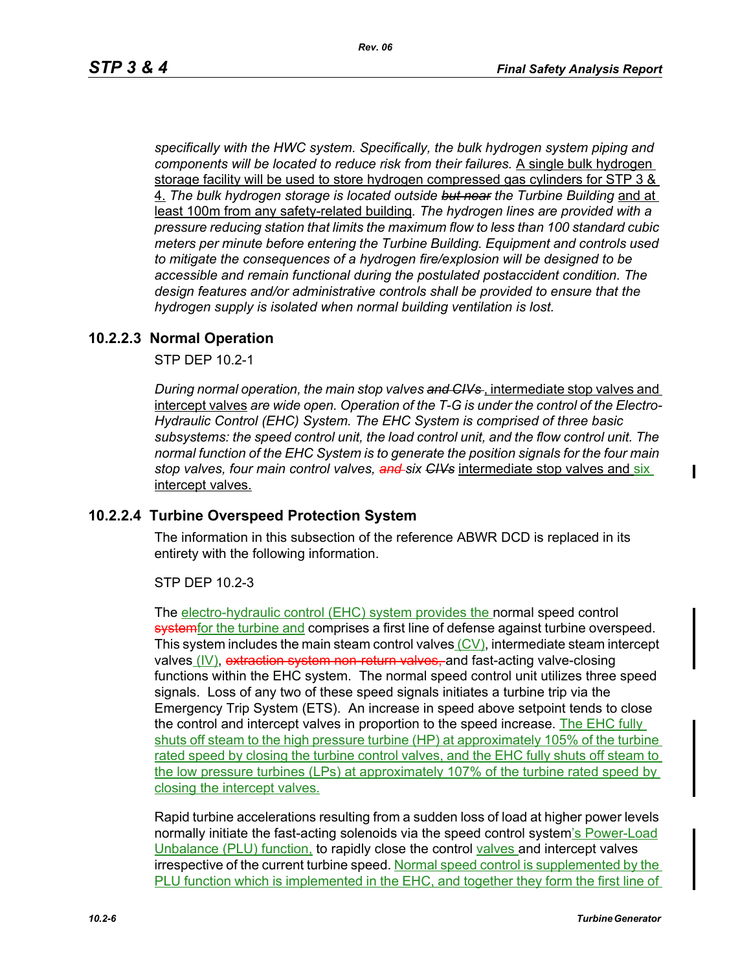*specifically with the HWC system. Specifically, the bulk hydrogen system piping and components will be located to reduce risk from their failures.* A single bulk hydrogen storage facility will be used to store hydrogen compressed gas cylinders for STP 3 & 4. *The bulk hydrogen storage is located outside but near the Turbine Building* and at least 100m from any safety-related building*. The hydrogen lines are provided with a pressure reducing station that limits the maximum flow to less than 100 standard cubic meters per minute before entering the Turbine Building. Equipment and controls used to mitigate the consequences of a hydrogen fire/explosion will be designed to be accessible and remain functional during the postulated postaccident condition. The design features and/or administrative controls shall be provided to ensure that the hydrogen supply is isolated when normal building ventilation is lost.*

### **10.2.2.3 Normal Operation**

STP DEP 10.2-1

*During normal operation, the main stop valves and CIVs* , intermediate stop valves and intercept valves *are wide open. Operation of the T-G is under the control of the Electro-Hydraulic Control (EHC) System. The EHC System is comprised of three basic subsystems: the speed control unit, the load control unit, and the flow control unit. The normal function of the EHC System is to generate the position signals for the four main stop valves, four main control valves, and six CIVs* intermediate stop valves and six intercept valves.

### **10.2.2.4 Turbine Overspeed Protection System**

The information in this subsection of the reference ABWR DCD is replaced in its entirety with the following information.

STP DEP 10.2-3

The electro-hydraulic control (EHC) system provides the normal speed control systemfor the turbine and comprises a first line of defense against turbine overspeed. This system includes the main steam control valves  $(CV)$ , intermediate steam intercept valves (IV), extraction system non-return valves, and fast-acting valve-closing functions within the EHC system. The normal speed control unit utilizes three speed signals. Loss of any two of these speed signals initiates a turbine trip via the Emergency Trip System (ETS). An increase in speed above setpoint tends to close the control and intercept valves in proportion to the speed increase. The EHC fully shuts off steam to the high pressure turbine (HP) at approximately 105% of the turbine rated speed by closing the turbine control valves, and the EHC fully shuts off steam to the low pressure turbines (LPs) at approximately 107% of the turbine rated speed by closing the intercept valves.

Rapid turbine accelerations resulting from a sudden loss of load at higher power levels normally initiate the fast-acting solenoids via the speed control system's Power-Load Unbalance (PLU) function, to rapidly close the control valves and intercept valves irrespective of the current turbine speed. Normal speed control is supplemented by the PLU function which is implemented in the EHC, and together they form the first line of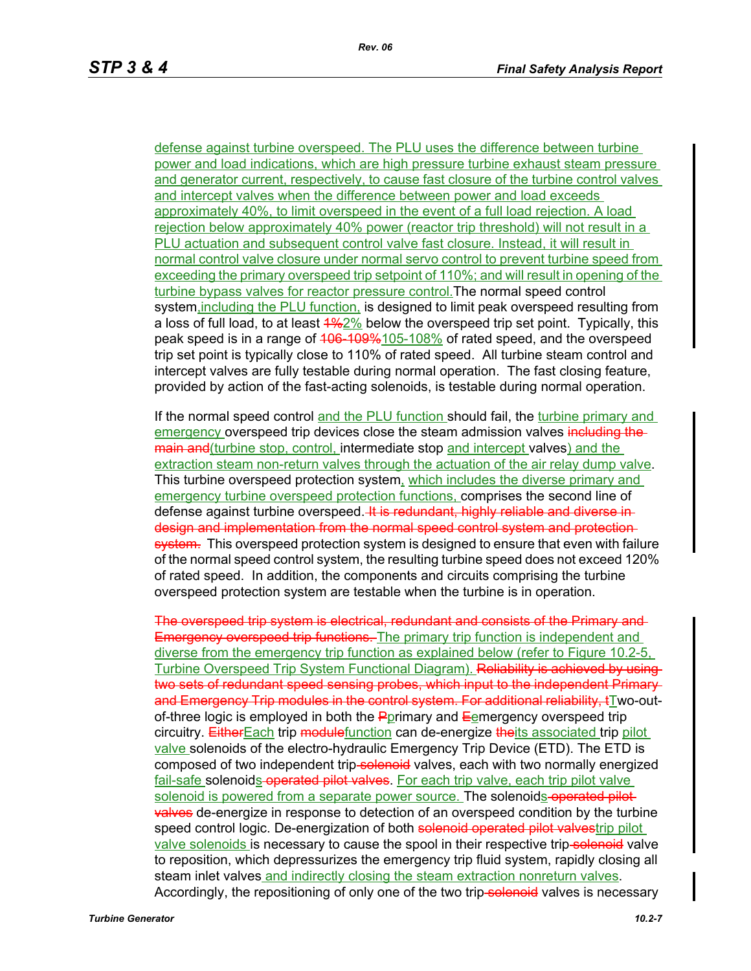defense against turbine overspeed. The PLU uses the difference between turbine power and load indications, which are high pressure turbine exhaust steam pressure and generator current, respectively, to cause fast closure of the turbine control valves and intercept valves when the difference between power and load exceeds approximately 40%, to limit overspeed in the event of a full load rejection. A load rejection below approximately 40% power (reactor trip threshold) will not result in a PLU actuation and subsequent control valve fast closure. Instead, it will result in normal control valve closure under normal servo control to prevent turbine speed from exceeding the primary overspeed trip setpoint of 110%; and will result in opening of the turbine bypass valves for reactor pressure control.The normal speed control system,including the PLU function, is designed to limit peak overspeed resulting from a loss of full load, to at least  $\frac{4\%2\%}{2}$  below the overspeed trip set point. Typically, this peak speed is in a range of 406-109%105-108% of rated speed, and the overspeed trip set point is typically close to 110% of rated speed. All turbine steam control and intercept valves are fully testable during normal operation. The fast closing feature, provided by action of the fast-acting solenoids, is testable during normal operation.

If the normal speed control and the PLU function should fail, the turbine primary and emergency overspeed trip devices close the steam admission valves including themain and (turbine stop, control, intermediate stop and intercept valves) and the extraction steam non-return valves through the actuation of the air relay dump valve. This turbine overspeed protection system, which includes the diverse primary and emergency turbine overspeed protection functions, comprises the second line of defense against turbine overspeed. It is redundant, highly reliable and diverse indesign and implementation from the normal speed control system and protection system. This overspeed protection system is designed to ensure that even with failure of the normal speed control system, the resulting turbine speed does not exceed 120% of rated speed. In addition, the components and circuits comprising the turbine overspeed protection system are testable when the turbine is in operation.

The overspeed trip system is electrical, redundant and consists of the Primary and **Emergency overspeed trip functions.** The primary trip function is independent and diverse from the emergency trip function as explained below (refer to Figure 10.2-5, Turbine Overspeed Trip System Functional Diagram). Reliability is achieved by using two sets of redundant speed sensing probes, which input to the independent Primaryand Emergency Trip modules in the control system. For additional reliability, tTwo-outof-three logic is employed in both the  $\frac{P}{Q}$ primary and  $\frac{E}{Q}$ emergency overspeed trip circuitry. EitherEach trip modulefunction can de-energize theits associated trip pilot valve solenoids of the electro-hydraulic Emergency Trip Device (ETD). The ETD is composed of two independent trip-solenoid valves, each with two normally energized fail-safe solenoids operated pilot valves. For each trip valve, each trip pilot valve solenoid is powered from a separate power source. The solenoids-operated pilot**valves** de-energize in response to detection of an overspeed condition by the turbine speed control logic. De-energization of both solenoid operated pilot valvestrip pilot valve solenoids is necessary to cause the spool in their respective trip-solenoid valve to reposition, which depressurizes the emergency trip fluid system, rapidly closing all steam inlet valves and indirectly closing the steam extraction nonreturn valves. Accordingly, the repositioning of only one of the two trip-solenoid valves is necessary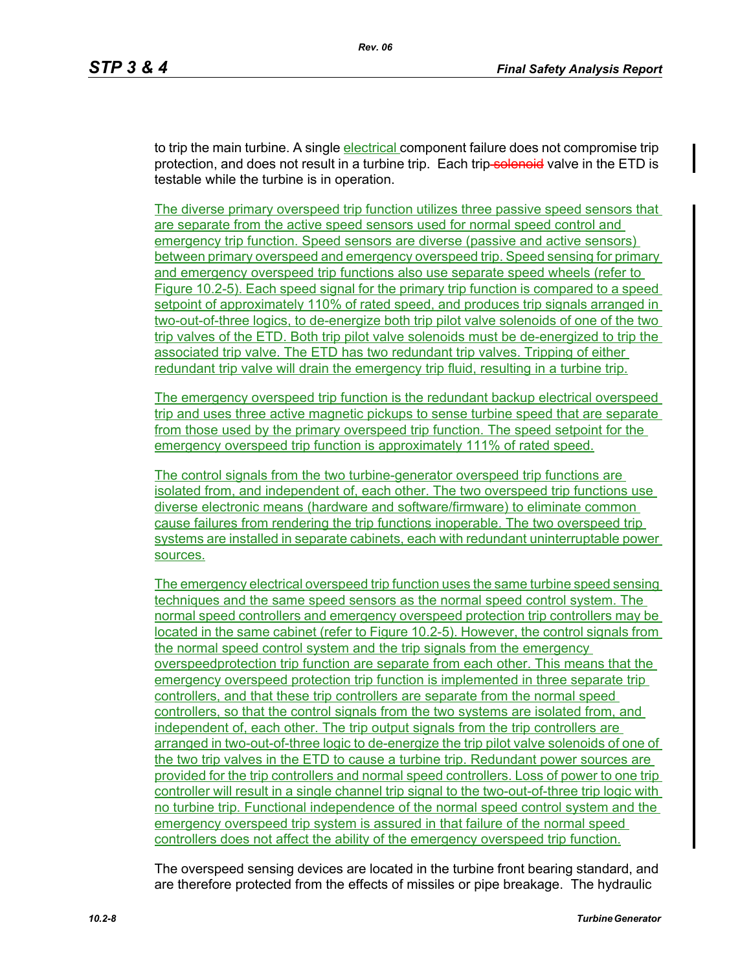to trip the main turbine. A single electrical component failure does not compromise trip protection, and does not result in a turbine trip. Each trip-solenoid valve in the ETD is testable while the turbine is in operation.

The diverse primary overspeed trip function utilizes three passive speed sensors that are separate from the active speed sensors used for normal speed control and emergency trip function. Speed sensors are diverse (passive and active sensors) between primary overspeed and emergency overspeed trip. Speed sensing for primary and emergency overspeed trip functions also use separate speed wheels (refer to Figure 10.2-5). Each speed signal for the primary trip function is compared to a speed setpoint of approximately 110% of rated speed, and produces trip signals arranged in two-out-of-three logics, to de-energize both trip pilot valve solenoids of one of the two trip valves of the ETD. Both trip pilot valve solenoids must be de-energized to trip the associated trip valve. The ETD has two redundant trip valves. Tripping of either redundant trip valve will drain the emergency trip fluid, resulting in a turbine trip.

The emergency overspeed trip function is the redundant backup electrical overspeed trip and uses three active magnetic pickups to sense turbine speed that are separate from those used by the primary overspeed trip function. The speed setpoint for the emergency overspeed trip function is approximately 111% of rated speed.

The control signals from the two turbine-generator overspeed trip functions are isolated from, and independent of, each other. The two overspeed trip functions use diverse electronic means (hardware and software/firmware) to eliminate common cause failures from rendering the trip functions inoperable. The two overspeed trip systems are installed in separate cabinets, each with redundant uninterruptable power sources.

The emergency electrical overspeed trip function uses the same turbine speed sensing techniques and the same speed sensors as the normal speed control system. The normal speed controllers and emergency overspeed protection trip controllers may be located in the same cabinet (refer to Figure 10.2-5). However, the control signals from the normal speed control system and the trip signals from the emergency overspeedprotection trip function are separate from each other. This means that the emergency overspeed protection trip function is implemented in three separate trip controllers, and that these trip controllers are separate from the normal speed controllers, so that the control signals from the two systems are isolated from, and independent of, each other. The trip output signals from the trip controllers are arranged in two-out-of-three logic to de-energize the trip pilot valve solenoids of one of the two trip valves in the ETD to cause a turbine trip. Redundant power sources are provided for the trip controllers and normal speed controllers. Loss of power to one trip controller will result in a single channel trip signal to the two-out-of-three trip logic with no turbine trip. Functional independence of the normal speed control system and the emergency overspeed trip system is assured in that failure of the normal speed controllers does not affect the ability of the emergency overspeed trip function.

The overspeed sensing devices are located in the turbine front bearing standard, and are therefore protected from the effects of missiles or pipe breakage. The hydraulic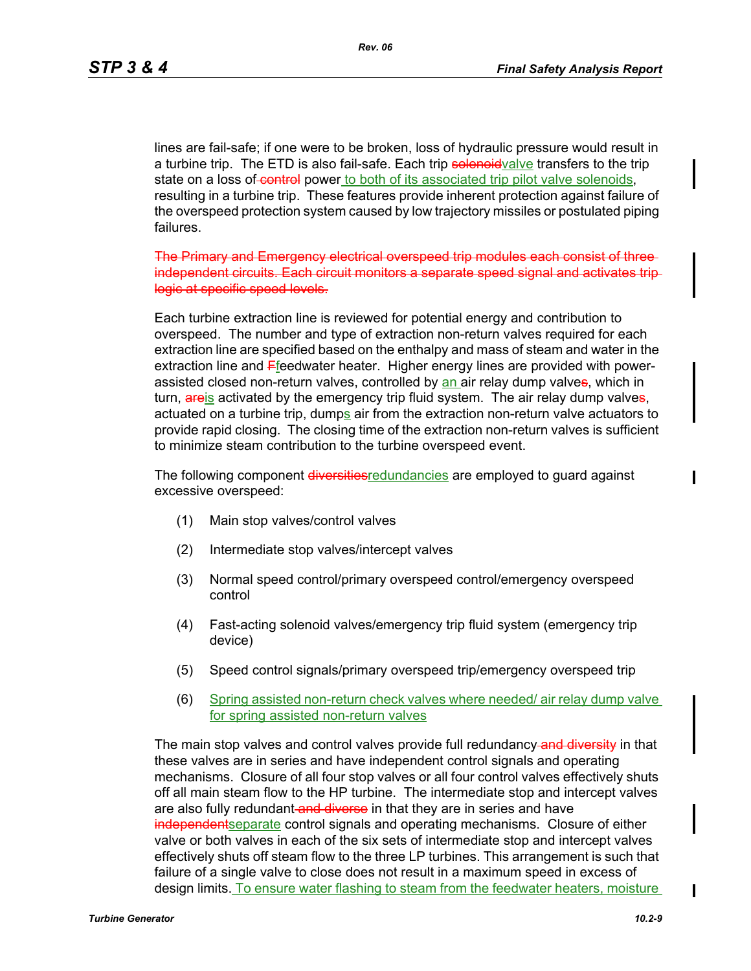*Rev. 06*

lines are fail-safe; if one were to be broken, loss of hydraulic pressure would result in a turbine trip. The ETD is also fail-safe. Each trip solenoid valve transfers to the trip state on a loss of control power to both of its associated trip pilot valve solenoids, resulting in a turbine trip. These features provide inherent protection against failure of the overspeed protection system caused by low trajectory missiles or postulated piping failures.

The Primary and Emergency electrical overspeed trip modules each consist of three independent circuits. Each circuit monitors a separate logic at specific speed levels.

Each turbine extraction line is reviewed for potential energy and contribution to overspeed. The number and type of extraction non-return valves required for each extraction line are specified based on the enthalpy and mass of steam and water in the extraction line and Ffeedwater heater. Higher energy lines are provided with powerassisted closed non-return valves, controlled by an air relay dump valves, which in turn, areis activated by the emergency trip fluid system. The air relay dump valves, actuated on a turbine trip, dumps air from the extraction non-return valve actuators to provide rapid closing. The closing time of the extraction non-return valves is sufficient to minimize steam contribution to the turbine overspeed event.

The following component diversities redundancies are employed to quard against excessive overspeed:

- (1) Main stop valves/control valves
- (2) Intermediate stop valves/intercept valves
- (3) Normal speed control/primary overspeed control/emergency overspeed control
- (4) Fast-acting solenoid valves/emergency trip fluid system (emergency trip device)
- (5) Speed control signals/primary overspeed trip/emergency overspeed trip
- (6) Spring assisted non-return check valves where needed/ air relay dump valve for spring assisted non-return valves

The main stop valves and control valves provide full redundancy-and diversity in that these valves are in series and have independent control signals and operating mechanisms. Closure of all four stop valves or all four control valves effectively shuts off all main steam flow to the HP turbine. The intermediate stop and intercept valves are also fully redundant-and diverse in that they are in series and have **independent** separate control signals and operating mechanisms. Closure of either valve or both valves in each of the six sets of intermediate stop and intercept valves effectively shuts off steam flow to the three LP turbines. This arrangement is such that failure of a single valve to close does not result in a maximum speed in excess of design limits. To ensure water flashing to steam from the feedwater heaters, moisture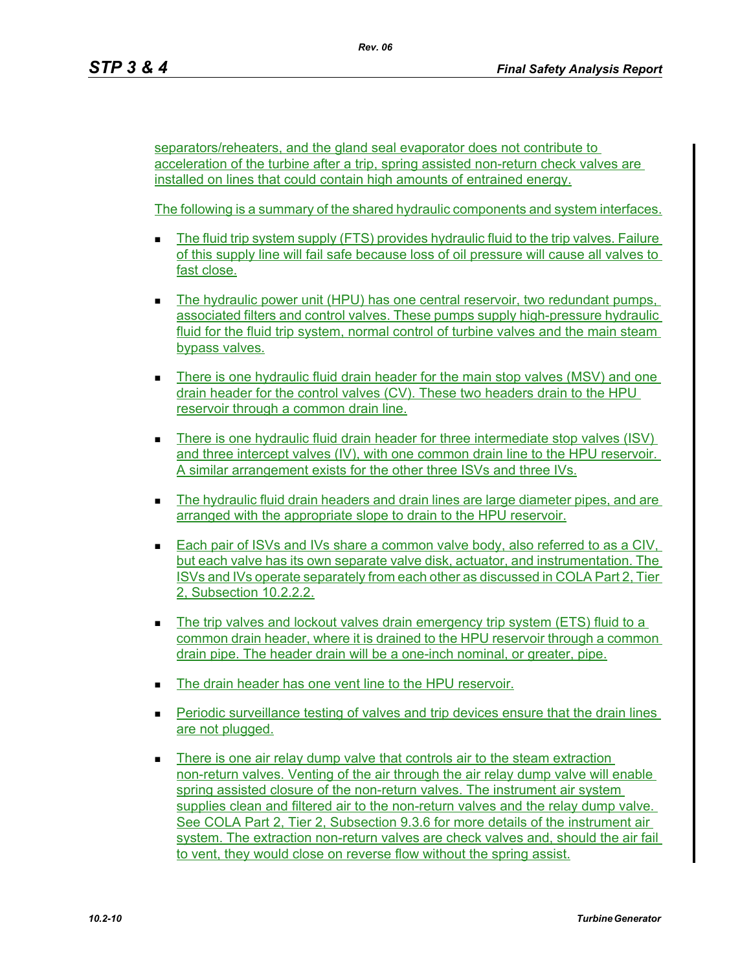separators/reheaters, and the gland seal evaporator does not contribute to acceleration of the turbine after a trip, spring assisted non-return check valves are installed on lines that could contain high amounts of entrained energy.

The following is a summary of the shared hydraulic components and system interfaces.

- The fluid trip system supply (FTS) provides hydraulic fluid to the trip valves. Failure of this supply line will fail safe because loss of oil pressure will cause all valves to fast close.
- The hydraulic power unit (HPU) has one central reservoir, two redundant pumps, associated filters and control valves. These pumps supply high-pressure hydraulic fluid for the fluid trip system, normal control of turbine valves and the main steam bypass valves.
- There is one hydraulic fluid drain header for the main stop valves (MSV) and one drain header for the control valves (CV). These two headers drain to the HPU reservoir through a common drain line.
- There is one hydraulic fluid drain header for three intermediate stop valves (ISV) and three intercept valves (IV), with one common drain line to the HPU reservoir. A similar arrangement exists for the other three ISVs and three IVs.
- The hydraulic fluid drain headers and drain lines are large diameter pipes, and are arranged with the appropriate slope to drain to the HPU reservoir.
- **Each pair of ISVs and IVs share a common valve body, also referred to as a CIV,** but each valve has its own separate valve disk, actuator, and instrumentation. The ISVs and IVs operate separately from each other as discussed in COLA Part 2, Tier 2, Subsection 10.2.2.2.
- The trip valves and lockout valves drain emergency trip system (ETS) fluid to a common drain header, where it is drained to the HPU reservoir through a common drain pipe. The header drain will be a one-inch nominal, or greater, pipe.
- The drain header has one vent line to the HPU reservoir.
- **Periodic surveillance testing of valves and trip devices ensure that the drain lines** are not plugged.
- There is one air relay dump valve that controls air to the steam extraction non-return valves. Venting of the air through the air relay dump valve will enable spring assisted closure of the non-return valves. The instrument air system supplies clean and filtered air to the non-return valves and the relay dump valve. See COLA Part 2, Tier 2, Subsection 9.3.6 for more details of the instrument air system. The extraction non-return valves are check valves and, should the air fail to vent, they would close on reverse flow without the spring assist.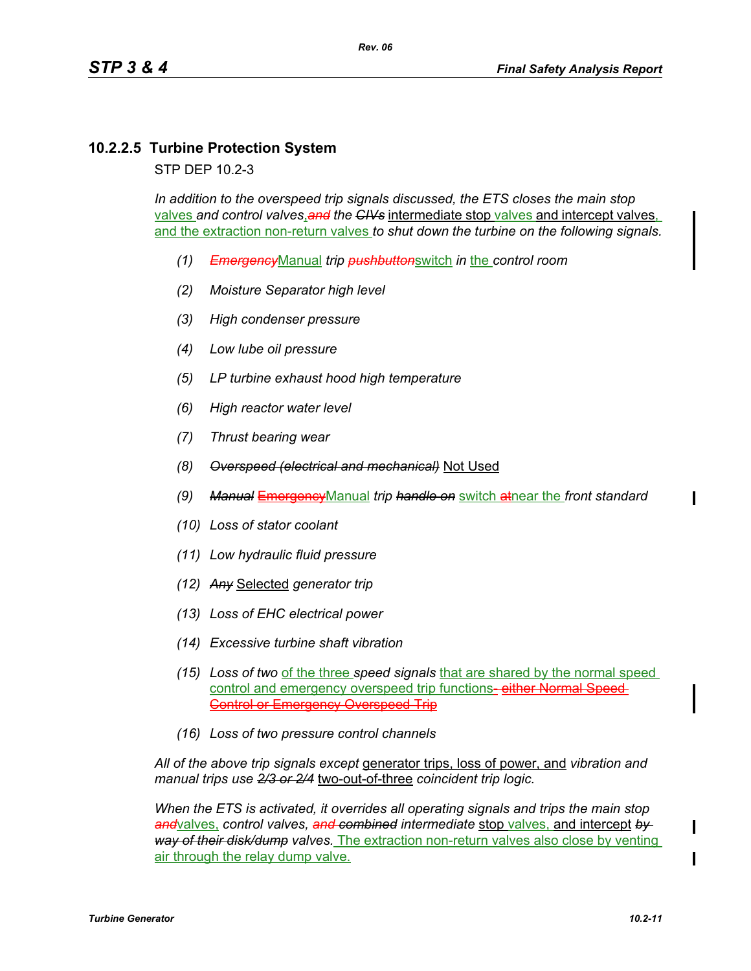# **10.2.2.5 Turbine Protection System**

STP DEP 10.2-3

*In addition to the overspeed trip signals discussed, the ETS closes the main stop*  valves *and control valves*,*and the CIVs* intermediate stop valves and intercept valves, and the extraction non-return valves *to shut down the turbine on the following signals.*

- *(1) Emergency*Manual *trip pushbutton*switch *in* the *control room*
- *(2) Moisture Separator high level*
- *(3) High condenser pressure*
- *(4) Low lube oil pressure*
- *(5) LP turbine exhaust hood high temperature*
- *(6) High reactor water level*
- *(7) Thrust bearing wear*
- *(8) Overspeed (electrical and mechanical)* Not Used
- *(9) Manual* EmergencyManual *trip handle on* switch atnear the *front standard*
- *(10) Loss of stator coolant*
- *(11) Low hydraulic fluid pressure*
- *(12) Any* Selected *generator trip*
- *(13) Loss of EHC electrical power*
- *(14) Excessive turbine shaft vibration*
- *(15) Loss of two* of the three *speed signals* that are shared by the normal speed control and emergency overspeed trip functions-either Normal Speed-Control or Emergency Overspeed Trip
- *(16) Loss of two pressure control channels*

*All of the above trip signals except* generator trips, loss of power, and *vibration and manual trips use 2/3 or 2/4* two-out-of-three *coincident trip logic.*

*When the ETS is activated, it overrides all operating signals and trips the main stop and*valves, *control valves, and combined intermediate* stop valves, and intercept *by way of their disk/dump valves.* The extraction non-return valves also close by venting air through the relay dump valve.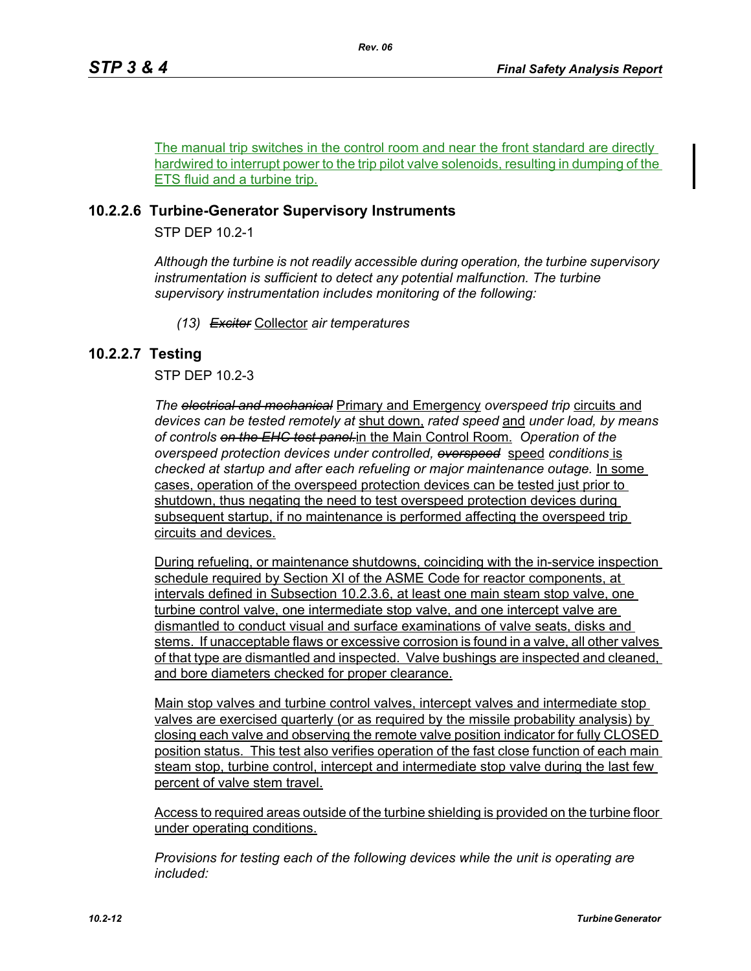The manual trip switches in the control room and near the front standard are directly hardwired to interrupt power to the trip pilot valve solenoids, resulting in dumping of the ETS fluid and a turbine trip.

## **10.2.2.6 Turbine-Generator Supervisory Instruments**

STP DEP 10.2-1

*Although the turbine is not readily accessible during operation, the turbine supervisory instrumentation is sufficient to detect any potential malfunction. The turbine supervisory instrumentation includes monitoring of the following:*

*(13) Exciter* Collector *air temperatures*

## **10.2.2.7 Testing**

STP DEP 10.2-3

*The electrical and mechanical* Primary and Emergency *overspeed trip* circuits and *devices can be tested remotely at* shut down, *rated speed* and *under load, by means of controls on the EHC test panel.*in the Main Control Room. *Operation of the overspeed protection devices under controlled, overspeed* speed *conditions* is *checked at startup and after each refueling or major maintenance outage.* In some cases, operation of the overspeed protection devices can be tested just prior to shutdown, thus negating the need to test overspeed protection devices during subsequent startup, if no maintenance is performed affecting the overspeed trip circuits and devices.

During refueling, or maintenance shutdowns, coinciding with the in-service inspection schedule required by Section XI of the ASME Code for reactor components, at intervals defined in Subsection 10.2.3.6, at least one main steam stop valve, one turbine control valve, one intermediate stop valve, and one intercept valve are dismantled to conduct visual and surface examinations of valve seats, disks and stems. If unacceptable flaws or excessive corrosion is found in a valve, all other valves of that type are dismantled and inspected. Valve bushings are inspected and cleaned, and bore diameters checked for proper clearance.

Main stop valves and turbine control valves, intercept valves and intermediate stop valves are exercised quarterly (or as required by the missile probability analysis) by closing each valve and observing the remote valve position indicator for fully CLOSED position status. This test also verifies operation of the fast close function of each main steam stop, turbine control, intercept and intermediate stop valve during the last few percent of valve stem travel.

Access to required areas outside of the turbine shielding is provided on the turbine floor under operating conditions.

*Provisions for testing each of the following devices while the unit is operating are included:*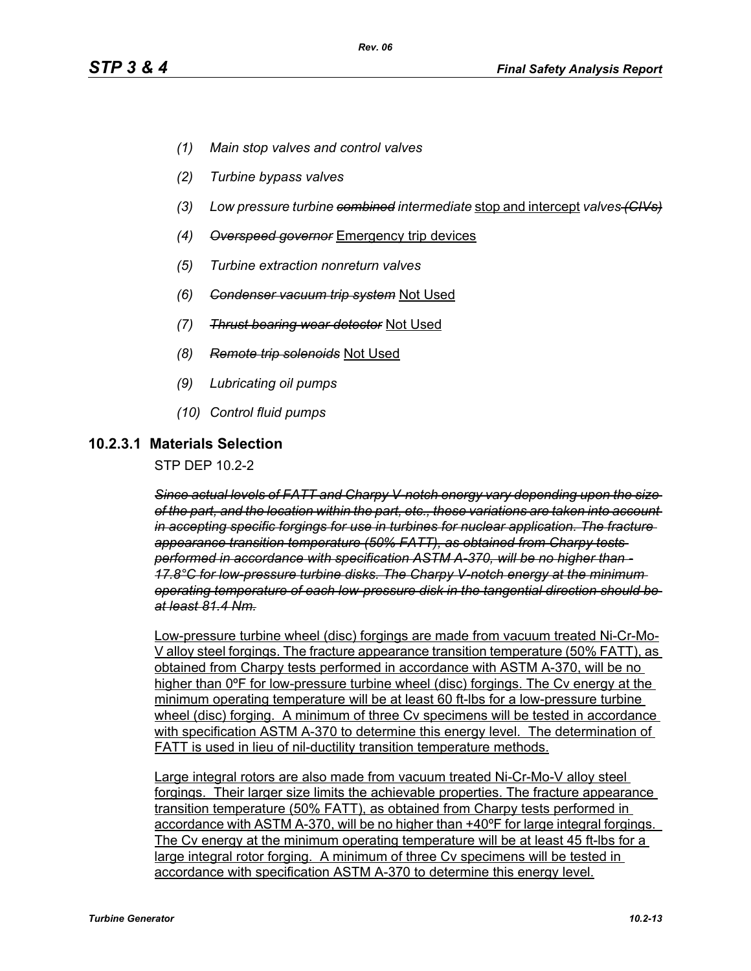- *(1) Main stop valves and control valves*
- *(2) Turbine bypass valves*
- *(3) Low pressure turbine combined intermediate* stop and intercept *valves (CIVs)*
- *(4) Overspeed governor* Emergency trip devices
- *(5) Turbine extraction nonreturn valves*
- *(6) Condenser vacuum trip system* Not Used
- *(7) Thrust bearing wear detector* Not Used
- *(8) Remote trip solenoids* Not Used
- *(9) Lubricating oil pumps*
- *(10) Control fluid pumps*

### **10.2.3.1 Materials Selection**

STP DEP 10.2-2

*Since actual levels of FATT and Charpy V-notch energy vary depending upon the size of the part, and the location within the part, etc., these variations are taken into account in accepting specific forgings for use in turbines for nuclear application. The fracture appearance transition temperature (50% FATT), as obtained from Charpy tests performed in accordance with specification ASTM A-370, will be no higher than - 17.8°C for low-pressure turbine disks. The Charpy V-notch energy at the minimum operating temperature of each low-pressure disk in the tangential direction should be at least 81.4 Nm.*

Low-pressure turbine wheel (disc) forgings are made from vacuum treated Ni-Cr-Mo-V alloy steel forgings. The fracture appearance transition temperature (50% FATT), as obtained from Charpy tests performed in accordance with ASTM A-370, will be no higher than 0ºF for low-pressure turbine wheel (disc) forgings. The Cv energy at the minimum operating temperature will be at least 60 ft-lbs for a low-pressure turbine wheel (disc) forging. A minimum of three Cv specimens will be tested in accordance with specification ASTM A-370 to determine this energy level. The determination of FATT is used in lieu of nil-ductility transition temperature methods.

Large integral rotors are also made from vacuum treated Ni-Cr-Mo-V alloy steel forgings. Their larger size limits the achievable properties. The fracture appearance transition temperature (50% FATT), as obtained from Charpy tests performed in accordance with ASTM A-370, will be no higher than +40ºF for large integral forgings. The Cv energy at the minimum operating temperature will be at least 45 ft-lbs for a large integral rotor forging. A minimum of three Cv specimens will be tested in accordance with specification ASTM A-370 to determine this energy level.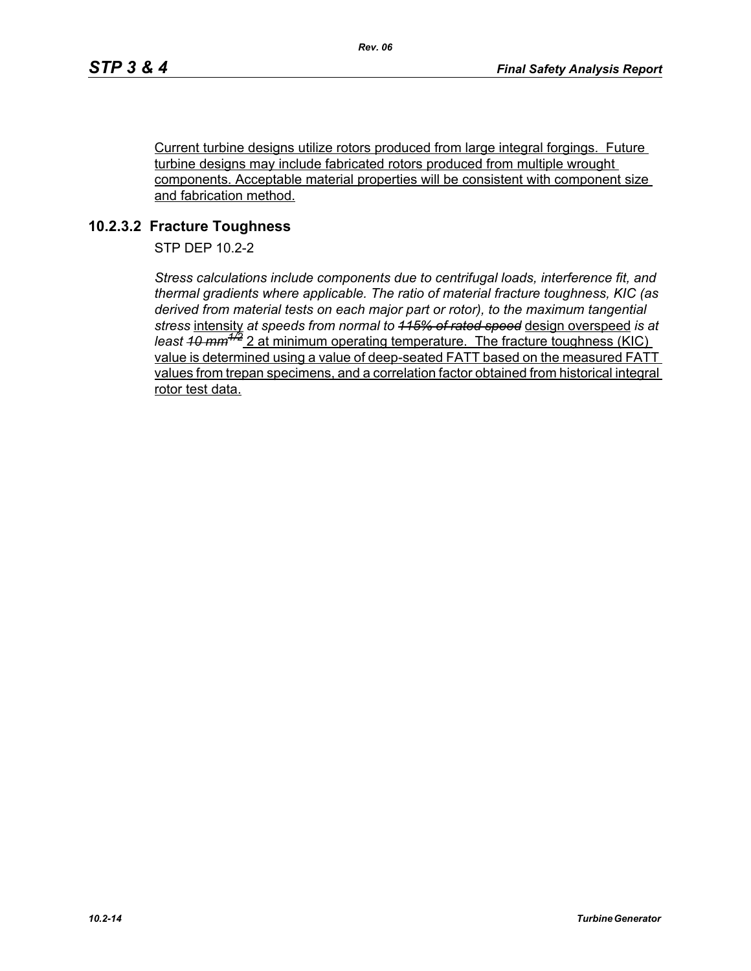Current turbine designs utilize rotors produced from large integral forgings. Future turbine designs may include fabricated rotors produced from multiple wrought components. Acceptable material properties will be consistent with component size and fabrication method.

## **10.2.3.2 Fracture Toughness**

STP DEP 10.2-2

*Stress calculations include components due to centrifugal loads, interference fit, and thermal gradients where applicable. The ratio of material fracture toughness, KIC (as derived from material tests on each major part or rotor), to the maximum tangential stress* intensity *at speeds from normal to 115% of rated speed* design overspeed *is at least 10 mm1/2* 2 at minimum operating temperature. The fracture toughness (KIC) value is determined using a value of deep-seated FATT based on the measured FATT values from trepan specimens, and a correlation factor obtained from historical integral rotor test data.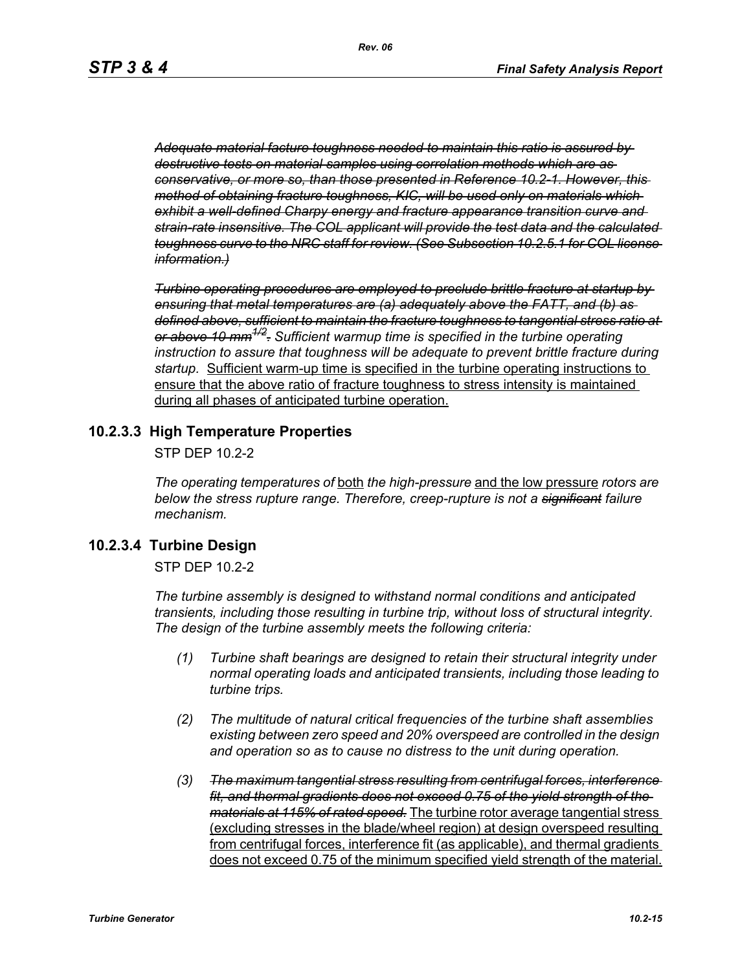*Adequate material facture toughness needed to maintain this ratio is assured by destructive tests on material samples using correlation methods which are as conservative, or more so, than those presented in Reference 10.2-1. However, this method of obtaining fracture toughness, KIC, will be used only on materials which exhibit a well-defined Charpy energy and fracture appearance transition curve and strain-rate insensitive. The COL applicant will provide the test data and the calculated toughness curve to the NRC staff for review. (See Subsection 10.2.5.1 for COL license information.)*

*Turbine operating procedures are employed to preclude brittle fracture at startup by ensuring that metal temperatures are (a) adequately above the FATT, and (b) as defined above, sufficient to maintain the fracture toughness to tangential stress ratio at or above 10 mm1/2. Sufficient warmup time is specified in the turbine operating instruction to assure that toughness will be adequate to prevent brittle fracture during startup.* Sufficient warm-up time is specified in the turbine operating instructions to ensure that the above ratio of fracture toughness to stress intensity is maintained during all phases of anticipated turbine operation.

### **10.2.3.3 High Temperature Properties**

STP DEP 10.2-2

*The operating temperatures of* both *the high-pressure* and the low pressure *rotors are below the stress rupture range. Therefore, creep-rupture is not a significant failure mechanism.* 

### **10.2.3.4 Turbine Design**

STP DEP 10.2-2

*The turbine assembly is designed to withstand normal conditions and anticipated transients, including those resulting in turbine trip, without loss of structural integrity. The design of the turbine assembly meets the following criteria:* 

- *(1) Turbine shaft bearings are designed to retain their structural integrity under normal operating loads and anticipated transients, including those leading to turbine trips.*
- *(2) The multitude of natural critical frequencies of the turbine shaft assemblies existing between zero speed and 20% overspeed are controlled in the design and operation so as to cause no distress to the unit during operation.*
- *(3) The maximum tangential stress resulting from centrifugal forces, interference fit, and thermal gradients does not exceed 0.75 of the yield strength of the materials at 115% of rated speed.* The turbine rotor average tangential stress (excluding stresses in the blade/wheel region) at design overspeed resulting from centrifugal forces, interference fit (as applicable), and thermal gradients does not exceed 0.75 of the minimum specified yield strength of the material.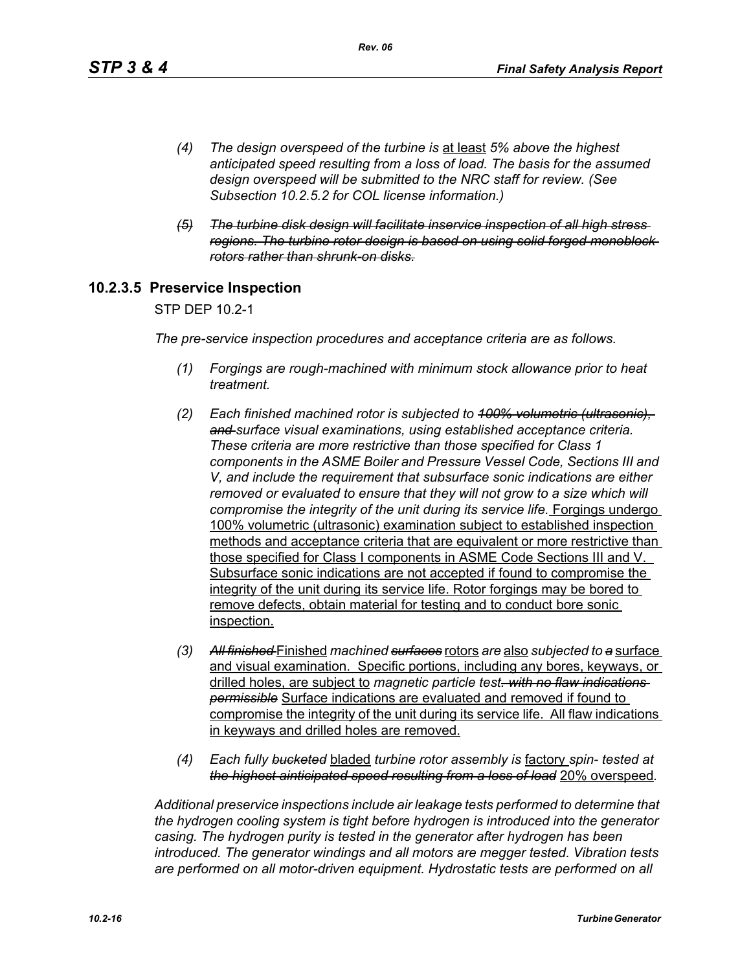- *(4) The design overspeed of the turbine is* at least *5% above the highest anticipated speed resulting from a loss of load. The basis for the assumed design overspeed will be submitted to the NRC staff for review. (See Subsection 10.2.5.2 for COL license information.)*
- *(5) The turbine disk design will facilitate inservice inspection of all high stress regions. The turbine rotor design is based on using solid forged monoblock rotors rather than shrunk-on disks.*

## **10.2.3.5 Preservice Inspection**

STP DEP 10.2-1

*The pre-service inspection procedures and acceptance criteria are as follows.*

- *(1) Forgings are rough-machined with minimum stock allowance prior to heat treatment.*
- *(2) Each finished machined rotor is subjected to 100% volumetric (ultrasonic), and surface visual examinations, using established acceptance criteria. These criteria are more restrictive than those specified for Class 1 components in the ASME Boiler and Pressure Vessel Code, Sections III and V, and include the requirement that subsurface sonic indications are either removed or evaluated to ensure that they will not grow to a size which will compromise the integrity of the unit during its service life.* Forgings undergo 100% volumetric (ultrasonic) examination subject to established inspection methods and acceptance criteria that are equivalent or more restrictive than those specified for Class I components in ASME Code Sections III and V. Subsurface sonic indications are not accepted if found to compromise the integrity of the unit during its service life. Rotor forgings may be bored to remove defects, obtain material for testing and to conduct bore sonic inspection.
- *(3) All finished* Finished *machined surfaces* rotors *are* also *subjected to a* surface and visual examination. Specific portions, including any bores, keyways, or drilled holes, are subject to *magnetic particle test. with no flaw indications permissible* Surface indications are evaluated and removed if found to compromise the integrity of the unit during its service life. All flaw indications in keyways and drilled holes are removed.
- *(4) Each fully bucketed* bladed *turbine rotor assembly is* factory *spin- tested at the highest ainticipated speed resulting from a loss of load* 20% overspeed*.*

*Additional preservice inspections include air leakage tests performed to determine that the hydrogen cooling system is tight before hydrogen is introduced into the generator casing. The hydrogen purity is tested in the generator after hydrogen has been introduced. The generator windings and all motors are megger tested. Vibration tests are performed on all motor-driven equipment. Hydrostatic tests are performed on all*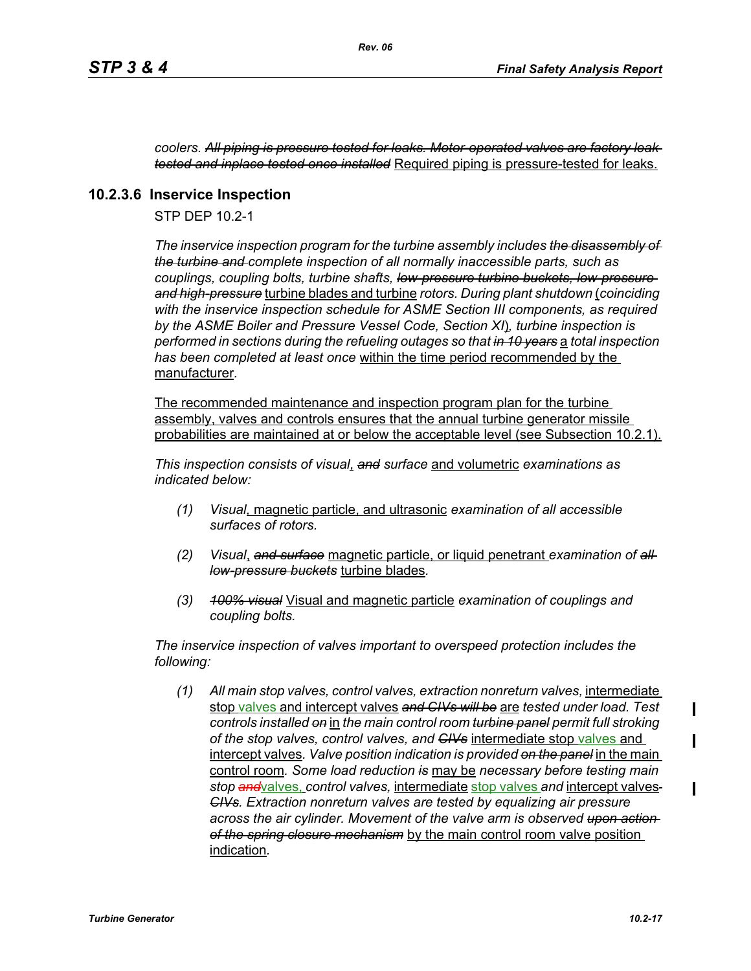*coolers. All piping is pressure tested for leaks. Motor-operated valves are factory leak tested and inplace tested once installed* Required piping is pressure-tested for leaks.

## **10.2.3.6 Inservice Inspection**

STP DEP 10.2-1

*The inservice inspection program for the turbine assembly includes the disassembly of the turbine and complete inspection of all normally inaccessible parts, such as couplings, coupling bolts, turbine shafts, low-pressure turbine buckets, low-pressure and high-pressure* turbine blades and turbine *rotors. During plant shutdown* (*coinciding with the inservice inspection schedule for ASME Section III components, as required by the ASME Boiler and Pressure Vessel Code, Section XI*)*, turbine inspection is performed in sections during the refueling outages so that in 10 years* a *total inspection has been completed at least once* within the time period recommended by the manufacturer*.* 

The recommended maintenance and inspection program plan for the turbine assembly, valves and controls ensures that the annual turbine generator missile probabilities are maintained at or below the acceptable level (see Subsection 10.2.1).

*This inspection consists of visual*, *and surface* and volumetric *examinations as indicated below:*

- *(1) Visual,* magnetic particle, and ultrasonic *examination of all accessible surfaces of rotors.*
- *(2) Visual*, *and surface* magnetic particle, or liquid penetrant *examination of all low-pressure buckets* turbine blades*.*
- *(3) 100% visual* Visual and magnetic particle *examination of couplings and coupling bolts.*

*The inservice inspection of valves important to overspeed protection includes the following:*

*(1) All main stop valves, control valves, extraction nonreturn valves,* intermediate stop valves and intercept valves *and CIVs will be* are *tested under load. Test controls installed on* in *the main control room turbine panel permit full stroking of the stop valves, control valves, and CIVs* intermediate stop valves and intercept valves*. Valve position indication is provided on the panel* in the main control room*. Some load reduction is* may be *necessary before testing main stop and*valves, *control valves,* intermediate stop valves *and* intercept valves *CIVs. Extraction nonreturn valves are tested by equalizing air pressure across the air cylinder. Movement of the valve arm is observed upon action of the spring closure mechanism* by the main control room valve position indication*.*

ı

 $\mathbf I$ 

 $\blacksquare$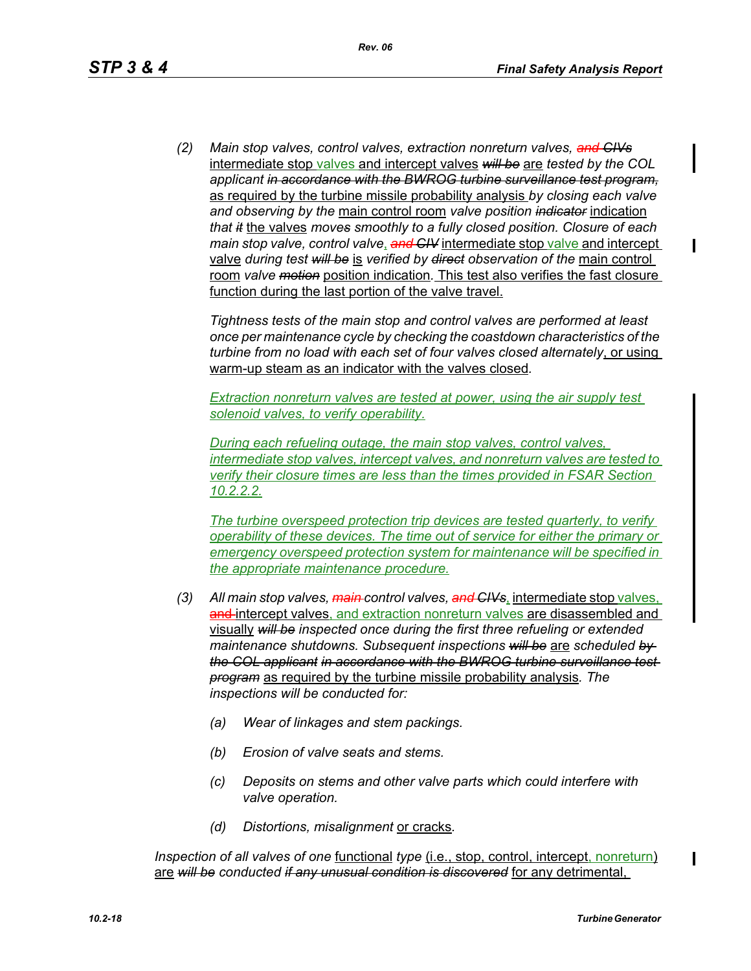*(2) Main stop valves, control valves, extraction nonreturn valves, and CIVs* intermediate stop valves and intercept valves *will be* are *tested by the COL applicant in accordance with the BWROG turbine surveillance test program,* as required by the turbine missile probability analysis *by closing each valve and observing by the* main control room *valve position indicator* indication *that it* the valves *moves smoothly to a fully closed position. Closure of each main stop valve, control valve*, *and CIV* intermediate stop valve and intercept valve *during test will be* is *verified by direct observation of the* main control room *valve motion* position indication*.* This test also verifies the fast closure function during the last portion of the valve travel.

*Tightness tests of the main stop and control valves are performed at least once per maintenance cycle by checking the coastdown characteristics of the turbine from no load with each set of four valves closed alternately*, or using warm-up steam as an indicator with the valves closed*.* 

*Extraction nonreturn valves are tested at power, using the air supply test solenoid valves, to verify operability.*

*During each refueling outage, the main stop valves, control valves, intermediate stop valves, intercept valves, and nonreturn valves are tested to verify their closure times are less than the times provided in FSAR Section 10.2.2.2.*

*The turbine overspeed protection trip devices are tested quarterly, to verify operability of these devices. The time out of service for either the primary or emergency overspeed protection system for maintenance will be specified in the appropriate maintenance procedure.*

- *(3) All main stop valves, main control valves, and CIVs*, intermediate stop valves, and-intercept valves, and extraction nonreturn valves are disassembled and visually *will be inspected once during the first three refueling or extended maintenance shutdowns. Subsequent inspections will be* are *scheduled by the COL applicant in accordance with the BWROG turbine surveillance test program* as required by the turbine missile probability analysis*. The inspections will be conducted for:* 
	- *(a) Wear of linkages and stem packings.*
	- *(b) Erosion of valve seats and stems.*
	- *(c) Deposits on stems and other valve parts which could interfere with valve operation.*
	- *(d) Distortions, misalignment* or cracks*.*

*Inspection of all valves of one functional type (i.e., stop, control, intercept, nonreturn)* are *will be conducted if any unusual condition is discovered* for any detrimental,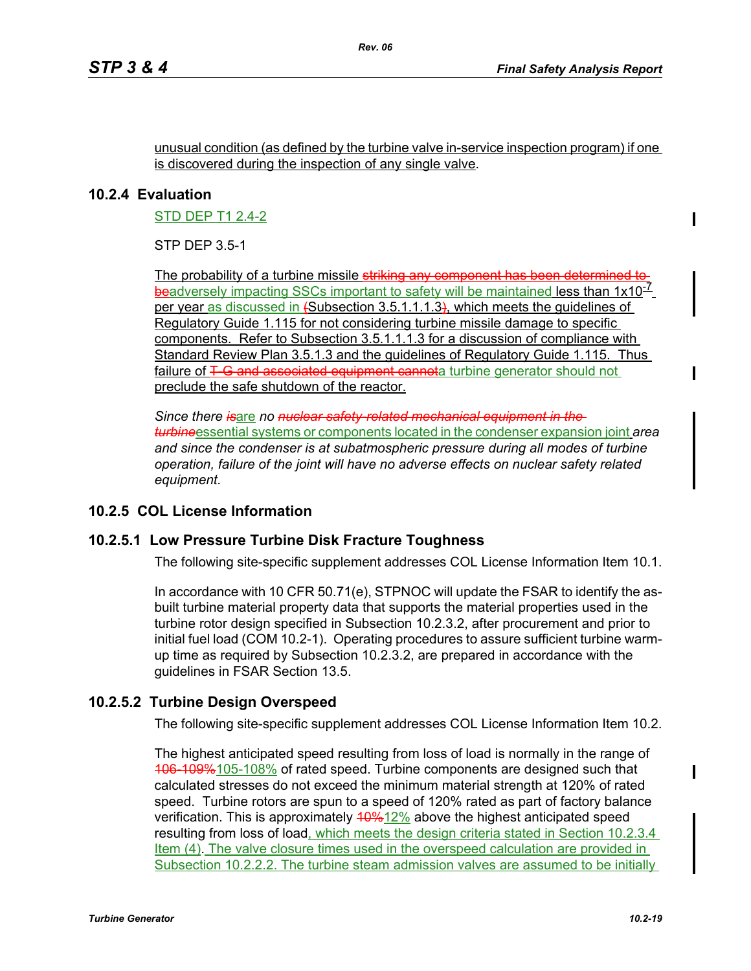#### unusual condition (as defined by the turbine valve in-service inspection program) if one is discovered during the inspection of any single valve*.*

## **10.2.4 Evaluation**

STD DEP T1 2.4-2

STP DEP 3.5-1

The probability of a turbine missile striking any component has been determined beadversely impacting SSCs important to safety will be maintained less than 1x10<sup>-1</sup> per year as discussed in (Subsection 3.5.1.1.1.3), which meets the guidelines of Regulatory Guide 1.115 for not considering turbine missile damage to specific components. Refer to Subsection 3.5.1.1.1.3 for a discussion of compliance with Standard Review Plan 3.5.1.3 and the guidelines of Regulatory Guide 1.115. Thus failure of T-G and associated equipment cannota turbine generator should not preclude the safe shutdown of the reactor.

*Since there is*are *no nuclear safety-related mechanical equipment in the turbine*essential systems or components located in the condenser expansion joint *area and since the condenser is at subatmospheric pressure during all modes of turbine operation, failure of the joint will have no adverse effects on nuclear safety related equipment.*

## **10.2.5 COL License Information**

### **10.2.5.1 Low Pressure Turbine Disk Fracture Toughness**

The following site-specific supplement addresses COL License Information Item 10.1.

In accordance with 10 CFR 50.71(e), STPNOC will update the FSAR to identify the asbuilt turbine material property data that supports the material properties used in the turbine rotor design specified in Subsection 10.2.3.2, after procurement and prior to initial fuel load (COM 10.2-1). Operating procedures to assure sufficient turbine warmup time as required by Subsection 10.2.3.2, are prepared in accordance with the guidelines in FSAR Section 13.5.

## **10.2.5.2 Turbine Design Overspeed**

The following site-specific supplement addresses COL License Information Item 10.2.

The highest anticipated speed resulting from loss of load is normally in the range of 106-109%105-108% of rated speed. Turbine components are designed such that calculated stresses do not exceed the minimum material strength at 120% of rated speed. Turbine rotors are spun to a speed of 120% rated as part of factory balance verification. This is approximately  $40\frac{4}{12\%}$  above the highest anticipated speed resulting from loss of load, which meets the design criteria stated in Section 10.2.3.4 Item (4). The valve closure times used in the overspeed calculation are provided in Subsection 10.2.2.2. The turbine steam admission valves are assumed to be initially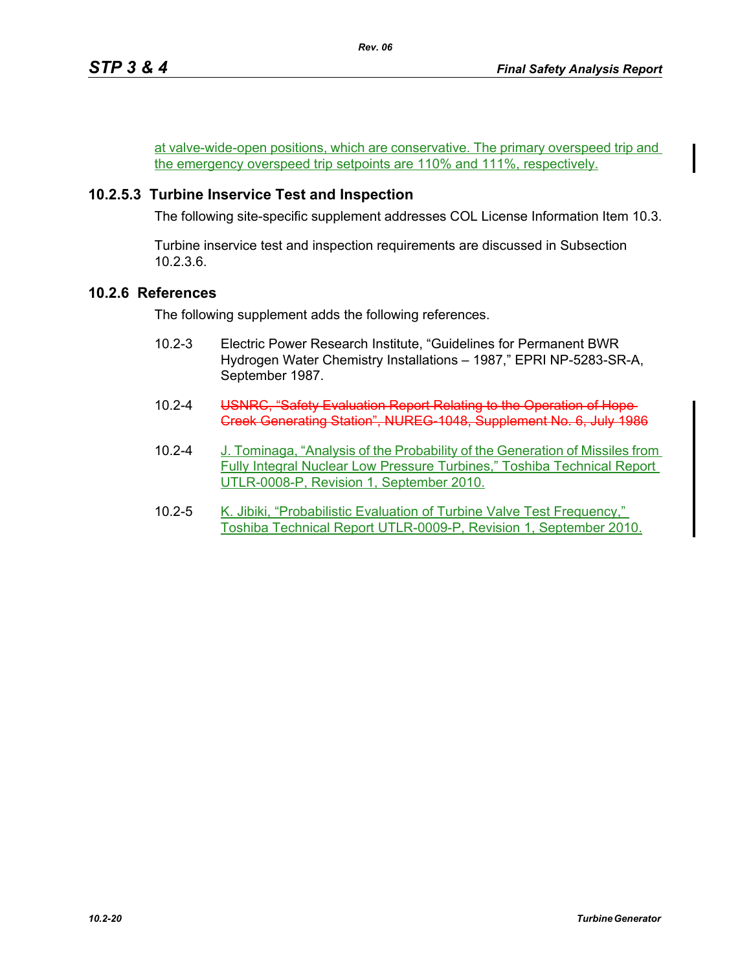at valve-wide-open positions, which are conservative. The primary overspeed trip and the emergency overspeed trip setpoints are 110% and 111%, respectively.

*Rev. 06*

## **10.2.5.3 Turbine Inservice Test and Inspection**

The following site-specific supplement addresses COL License Information Item 10.3.

Turbine inservice test and inspection requirements are discussed in Subsection 10.2.3.6.

## **10.2.6 References**

The following supplement adds the following references.

- 10.2-3 Electric Power Research Institute, "Guidelines for Permanent BWR Hydrogen Water Chemistry Installations – 1987," EPRI NP-5283-SR-A, September 1987.
- 10.2-4 USNRC, "Safety Evaluation Report Relating to the Operation of Hope-Creek Generating Station", NUREG-1048, Supplement No. 6, July 1986
- 10.2-4 J. Tominaga, "Analysis of the Probability of the Generation of Missiles from Fully Integral Nuclear Low Pressure Turbines," Toshiba Technical Report UTLR-0008-P, Revision 1, September 2010.
- 10.2-5 K. Jibiki, "Probabilistic Evaluation of Turbine Valve Test Frequency," Toshiba Technical Report UTLR-0009-P, Revision 1, September 2010.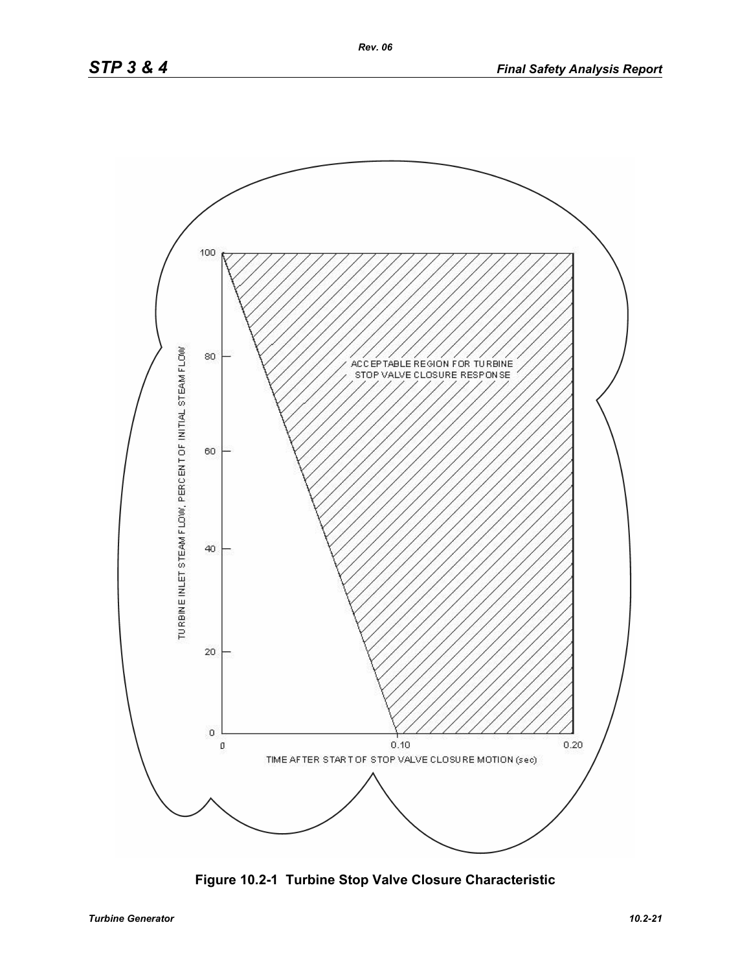

**Figure 10.2-1 Turbine Stop Valve Closure Characteristic**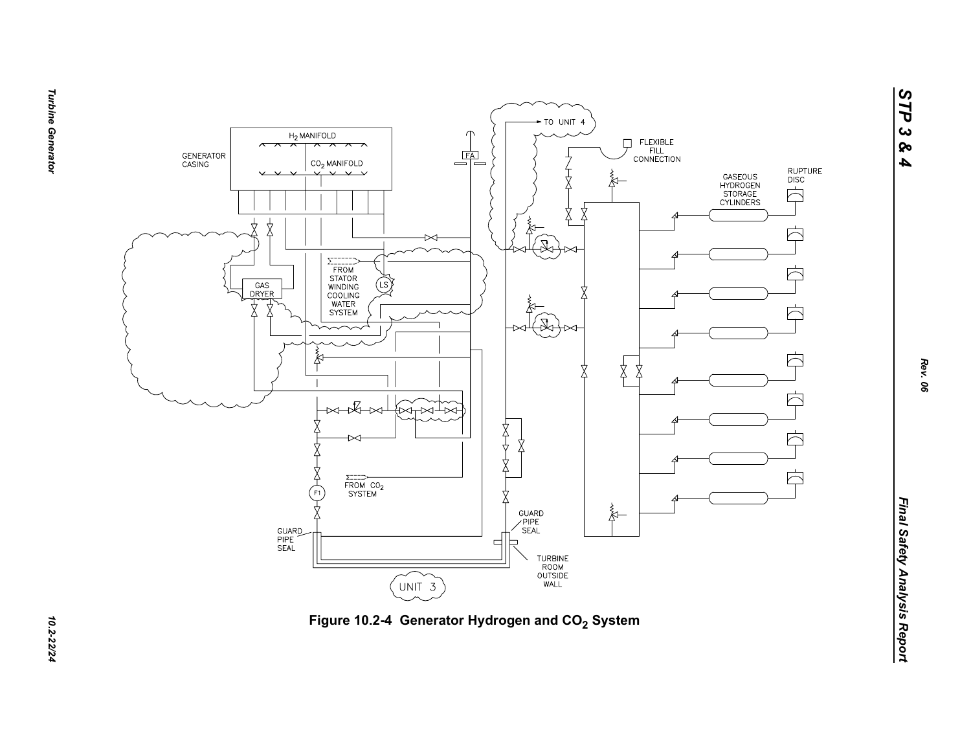



**Turbine Generator** *Turbine Generator 10.2-22/24*

*STP 3 & 4*